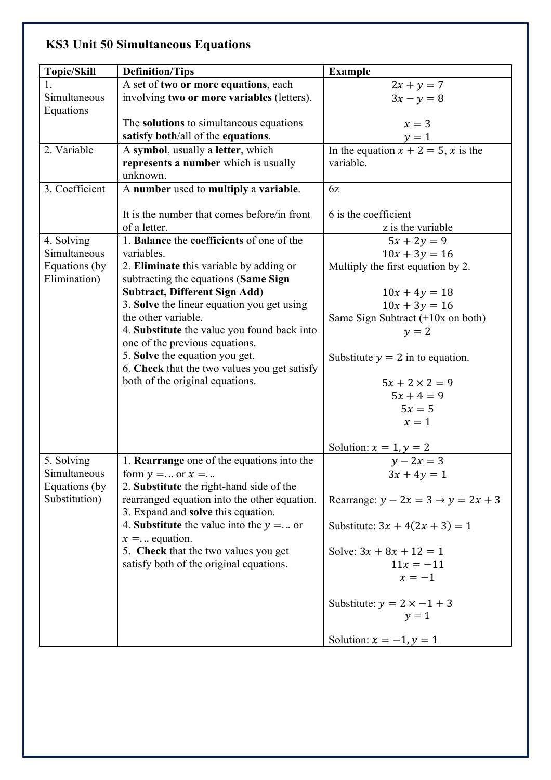## **KS3 Unit 50 Simultaneous Equations**

| <b>Topic/Skill</b>            | <b>Definition/Tips</b>                                                          | <b>Example</b>                                    |
|-------------------------------|---------------------------------------------------------------------------------|---------------------------------------------------|
|                               | A set of two or more equations, each                                            | $2x + y = 7$                                      |
| Simultaneous<br>Equations     | involving two or more variables (letters).                                      | $3x - y = 8$                                      |
|                               | The solutions to simultaneous equations                                         | $x=3$                                             |
|                               | satisfy both/all of the equations.                                              |                                                   |
| 2. Variable                   | A symbol, usually a letter, which                                               | $y = 1$<br>In the equation $x + 2 = 5$ , x is the |
|                               | represents a number which is usually                                            | variable.                                         |
|                               | unknown.                                                                        |                                                   |
| 3. Coefficient                | A number used to multiply a variable.                                           | 6z                                                |
|                               | It is the number that comes before/in front                                     | 6 is the coefficient                              |
|                               | of a letter.                                                                    | z is the variable                                 |
| 4. Solving                    | 1. Balance the coefficients of one of the                                       | $5x + 2y = 9$                                     |
| Simultaneous                  | variables.                                                                      | $10x + 3y = 16$                                   |
| Equations (by<br>Elimination) | 2. Eliminate this variable by adding or<br>subtracting the equations (Same Sign | Multiply the first equation by 2.                 |
|                               | <b>Subtract, Different Sign Add)</b>                                            | $10x + 4y = 18$                                   |
|                               | 3. Solve the linear equation you get using                                      | $10x + 3y = 16$                                   |
|                               | the other variable.                                                             | Same Sign Subtract $(+10x \text{ on both})$       |
|                               | 4. Substitute the value you found back into                                     | $y = 2$                                           |
|                               | one of the previous equations.                                                  |                                                   |
|                               | 5. Solve the equation you get.                                                  | Substitute $y = 2$ in to equation.                |
|                               | 6. Check that the two values you get satisfy                                    |                                                   |
|                               | both of the original equations.                                                 | $5x + 2 \times 2 = 9$                             |
|                               |                                                                                 | $5x + 4 = 9$                                      |
|                               |                                                                                 | $5x=5$                                            |
|                               |                                                                                 | $x=1$                                             |
|                               |                                                                                 | Solution: $x = 1$ , $y = 2$<br>$y - 2x = 3$       |
| 5. Solving                    | 1. Rearrange one of the equations into the                                      |                                                   |
| Simultaneous                  | form $y = $ or $x = $                                                           | $3x + 4y = 1$                                     |
| Equations (by                 | 2. Substitute the right-hand side of the                                        |                                                   |
| Substitution)                 | rearranged equation into the other equation.                                    | Rearrange: $y - 2x = 3 \rightarrow y = 2x + 3$    |
|                               | 3. Expand and solve this equation.                                              |                                                   |
|                               | 4. Substitute the value into the $y = $ or                                      | Substitute: $3x + 4(2x + 3) = 1$                  |
|                               | $x =$ equation.<br>5. Check that the two values you get                         | Solve: $3x + 8x + 12 = 1$                         |
|                               | satisfy both of the original equations.                                         | $11x = -11$                                       |
|                               |                                                                                 | $x=-1$                                            |
|                               |                                                                                 |                                                   |
|                               |                                                                                 | Substitute: $y = 2 \times -1 + 3$                 |
|                               |                                                                                 | $y = 1$                                           |
|                               |                                                                                 |                                                   |
|                               |                                                                                 | Solution: $x = -1$ , $y = 1$                      |